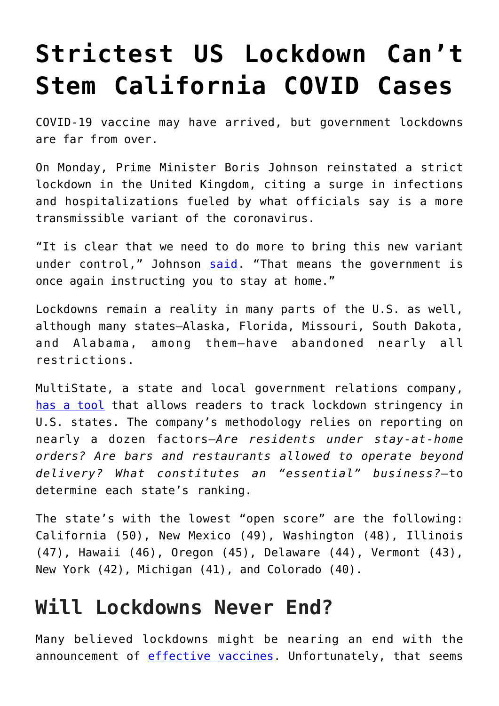## **[Strictest US Lockdown Can't](https://intellectualtakeout.org/2021/01/strictest-us-lockdown-cant-stem-california-covid-cases/) [Stem California COVID Cases](https://intellectualtakeout.org/2021/01/strictest-us-lockdown-cant-stem-california-covid-cases/)**

COVID-19 vaccine may have arrived, but government lockdowns are far from over.

On Monday, Prime Minister Boris Johnson reinstated a strict lockdown in the United Kingdom, citing a surge in infections and hospitalizations fueled by what officials say is a more transmissible variant of the coronavirus.

"It is clear that we need to do more to bring this new variant under control," Johnson [said.](https://www.cnn.com/2021/01/04/uk/uk-lockdown-covid-19-boris-johnson-intl/index.html) "That means the government is once again instructing you to stay at home."

Lockdowns remain a reality in many parts of the U.S. as well, although many states—Alaska, Florida, Missouri, South Dakota, and Alabama, among them—have abandoned nearly all restrictions.

MultiState, a state and local government relations company, [has a tool](https://www.multistate.us/issues/covid-19-state-reopening-guide) that allows readers to track lockdown stringency in U.S. states. The company's methodology relies on reporting on nearly a dozen factors—*Are residents under stay-at-home orders? Are bars and restaurants allowed to operate beyond delivery? What constitutes an "essential" business?*—to determine each state's ranking.

The state's with the lowest "open score" are the following: California (50), New Mexico (49), Washington (48), Illinois (47), Hawaii (46), Oregon (45), Delaware (44), Vermont (43), New York (42), Michigan (41), and Colorado (40).

## **Will Lockdowns Never End?**

Many believed lockdowns might be nearing an end with the announcement of [effective vaccines.](https://fee.org/articles/we-had-the-vaccine-from-the-start-you-just-werent-allowed-to-take-it/) Unfortunately, that seems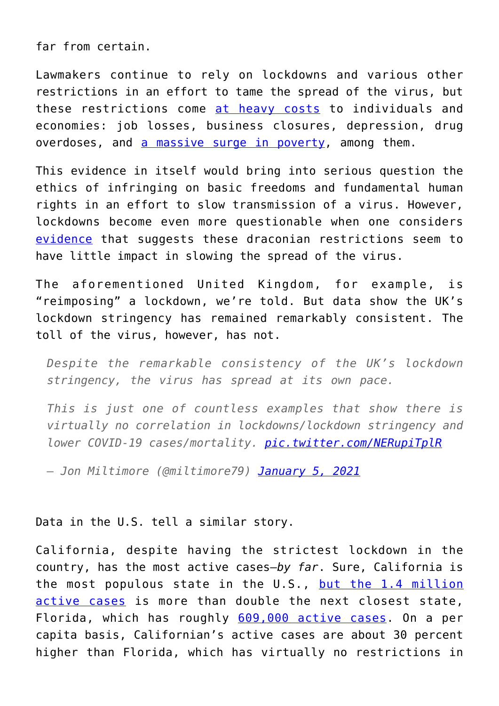far from certain.

Lawmakers continue to rely on lockdowns and various other restrictions in an effort to tame the spread of the virus, but these restrictions come [at heavy costs](https://fee.org/articles/4-life-threatening-unintended-consequences-of-the-lockdowns/) to individuals and economies: job losses, business closures, depression, drug overdoses, and [a massive surge in poverty,](https://www.worldbank.org/en/news/press-release/2020/10/07/covid-19-to-add-as-many-as-150-million-extreme-poor-by-2021) among them.

This evidence in itself would bring into serious question the ethics of infringing on basic freedoms and fundamental human rights in an effort to slow transmission of a virus. However, lockdowns become even more questionable when one considers [evidence](https://fee.org/articles/3-studies-that-show-lockdowns-are-ineffective-at-slowing-covid-19/) that suggests these draconian restrictions seem to have little impact in slowing the spread of the virus.

The aforementioned United Kingdom, for example, is "reimposing" a lockdown, we're told. But data show the UK's lockdown stringency has remained remarkably consistent. The toll of the virus, however, has not.

*Despite the remarkable consistency of the UK's lockdown stringency, the virus has spread at its own pace.*

*This is just one of countless examples that show there is virtually no correlation in lockdowns/lockdown stringency and lower COVID-19 cases/mortality. [pic.twitter.com/NERupiTplR](https://t.co/NERupiTplR)*

*— Jon Miltimore (@miltimore79) [January 5, 2021](https://twitter.com/miltimore79/status/1346492421027340291?ref_src=twsrc%5Etfw)*

## Data in the U.S. tell a similar story.

California, despite having the strictest lockdown in the country, has the most active cases—*by far*. Sure, California is the most populous state in the U.S., [but the 1.4 million](https://www.worldometers.info/coronavirus/usa/california/) [active cases](https://www.worldometers.info/coronavirus/usa/california/) is more than double the next closest state, Florida, which has roughly [609,000 active cases.](https://www.worldometers.info/coronavirus/usa/florida/) On a per capita basis, Californian's active cases are about 30 percent higher than Florida, which has virtually no restrictions in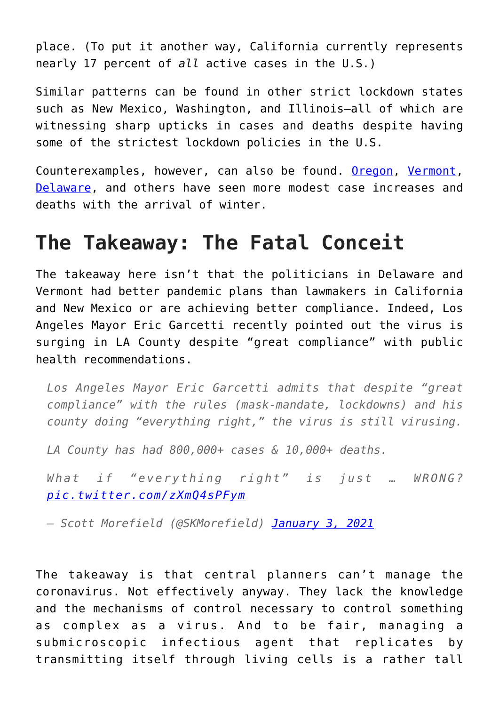place. (To put it another way, California currently represents nearly 17 percent of *all* active cases in the U.S.)

Similar patterns can be found in other strict lockdown states such as New Mexico, Washington, and Illinois—all of which are witnessing sharp upticks in cases and deaths despite having some of the strictest lockdown policies in the U.S.

Counterexamples, however, can also be found. [Oregon](https://www.worldometers.info/coronavirus/usa/oregon/), [Vermont,](https://www.worldometers.info/coronavirus/usa/vermont/) [Delaware,](https://www.worldometers.info/coronavirus/usa/delaware/) and others have seen more modest case increases and deaths with the arrival of winter.

## **The Takeaway: The Fatal Conceit**

The takeaway here isn't that the politicians in Delaware and Vermont had better pandemic plans than lawmakers in California and New Mexico or are achieving better compliance. Indeed, Los Angeles Mayor Eric Garcetti recently pointed out the virus is surging in LA County despite "great compliance" with public health recommendations.

*Los Angeles Mayor Eric Garcetti admits that despite "great compliance" with the rules (mask-mandate, lockdowns) and his county doing "everything right," the virus is still virusing.*

*LA County has had 800,000+ cases & 10,000+ deaths.*

*What if "everything right" is just … WRONG? [pic.twitter.com/zXmQ4sPFym](https://t.co/zXmQ4sPFym)*

*— Scott Morefield (@SKMorefield) [January 3, 2021](https://twitter.com/SKMorefield/status/1345777841410101249?ref_src=twsrc%5Etfw)*

The takeaway is that central planners can't manage the coronavirus. Not effectively anyway. They lack the knowledge and the mechanisms of control necessary to control something as complex as a virus. And to be fair, managing a submicroscopic infectious agent that replicates by transmitting itself through living cells is a rather tall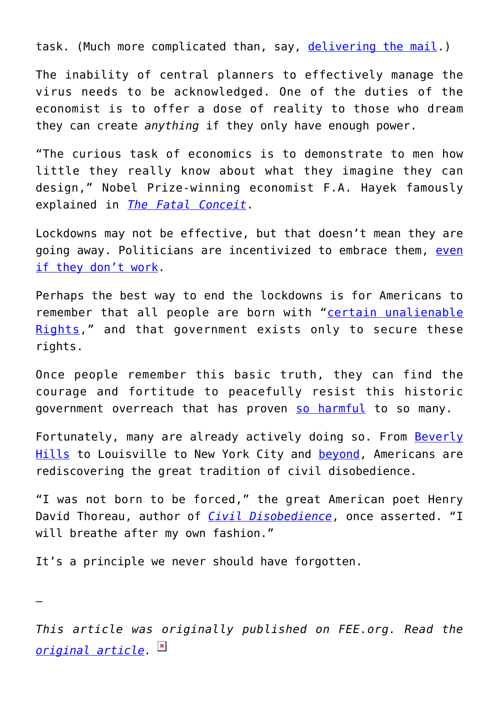task. (Much more complicated than, say, [delivering the mail](https://reason.com/2019/05/10/post-service-lost-2-billion-in-three-months/).)

The inability of central planners to effectively manage the virus needs to be acknowledged. One of the duties of the economist is to offer a dose of reality to those who dream they can create *anything* if they only have enough power.

"The curious task of economics is to demonstrate to men how little they really know about what they imagine they can design," Nobel Prize-winning economist F.A. Hayek famously explained in *[The Fatal Conceit](https://www.amazon.com/gp/product/0226320669/ref=as_li_tl?ie=UTF8&camp=1789&creative=9325&creativeASIN=0226320669&linkCode=as2&tag=intelltakeo0d-20&linkId=c60426493ac8c53f760c8032d880ed02)*.

Lockdowns may not be effective, but that doesn't mean they are going away. Politicians are incentivized to embrace them, [even](https://fee.org/articles/why-politicians-are-incentivized-to-embrace-covid-19-restrictions-even-if-they-don-t-work/) [if they don't work.](https://fee.org/articles/why-politicians-are-incentivized-to-embrace-covid-19-restrictions-even-if-they-don-t-work/)

Perhaps the best way to end the lockdowns is for Americans to remember that all people are born with "[certain unalienable](https://www.archives.gov/founding-docs/declaration-transcript) [Rights,](https://www.archives.gov/founding-docs/declaration-transcript)" and that government exists only to secure these rights.

Once people remember this basic truth, they can find the courage and fortitude to peacefully resist this historic government overreach that has proven [so harmful](https://www.washingtonpost.com/business/2020/12/16/poverty-rising/) to so many.

Fortunately, many are already actively doing so. From [Beverly](https://fee.org/articles/beverly-hills-and-louisville-revolt-against-dining-bans-as-lockdown-defiance-continues-to-spread-across-america/) [Hills](https://fee.org/articles/beverly-hills-and-louisville-revolt-against-dining-bans-as-lockdown-defiance-continues-to-spread-across-america/) to Louisville to New York City and [beyond](https://fee.org/articles/colorado-county-refuses-to-enforce-lockdowns-as-civil-disobedience-spreads-across-america/), Americans are rediscovering the great tradition of civil disobedience.

"I was not born to be forced," the great American poet Henry David Thoreau, author of *[Civil Disobedience](https://www.amazon.com/gp/product/1625009925/ref=as_li_tl?ie=UTF8&camp=1789&creative=9325&creativeASIN=1625009925&linkCode=as2&tag=intelltakeo0d-20&linkId=fa7a0688a0d9c87b990a262970a948b2)*, once asserted. "I will breathe after my own fashion."

It's a principle we never should have forgotten.

—

*This article was originally published on FEE.org. Read the [original article.](https://fee.org/articles/california-has-the-strictest-lockdown-in-the-us-and-the-most-active-covid-cases-by-far/)*